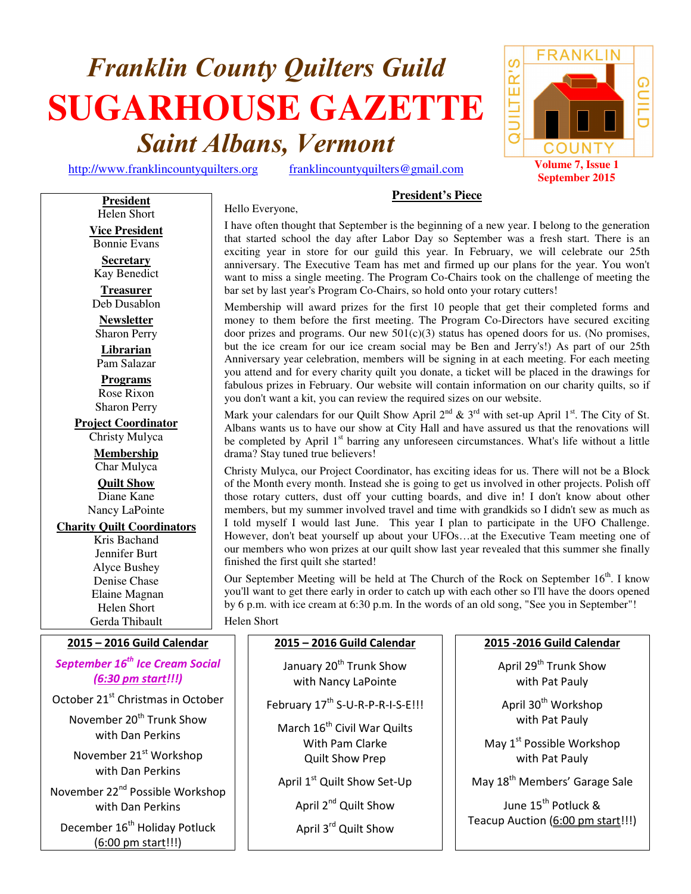# **Franklin County Quilters Guild SUGARHOUSE GAZETTE Saint Albans, Vermont**



#### Hello Everyone,

**President** Helen Short **Vice President**  Bonnie Evans

**Secretary**  Kay Benedict

**Treasurer**  Deb Dusablon

**Newsletter**  Sharon Perry

**Librarian**  Pam Salazar

**Programs** Rose Rixon Sharon Perry

**Project Coordinator** Christy Mulyca

**Membership**  Char Mulyca **Quilt Show** Diane Kane

Nancy LaPointe

**Charity Quilt Coordinators**

Kris Bachand Jennifer Burt Alyce Bushey Denise Chase Elaine Magnan Helen Short Gerda Thibault

#### **2015 – 2016 Guild Calendar**

*September 16th Ice Cream Social (6:30 pm start!!!)*

October 21<sup>st</sup> Christmas in October

November 20<sup>th</sup> Trunk Show with Dan Perkins

November 21<sup>st</sup> Workshop with Dan Perkins

November 22nd Possible Workshop with Dan Perkins

December 16<sup>th</sup> Holiday Potluck (6:00 pm start!!!)

I have often thought that September is the beginning of a new year. I belong to the generation that started school the day after Labor Day so September was a fresh start. There is an exciting year in store for our guild this year. In February, we will celebrate our 25th anniversary. The Executive Team has met and firmed up our plans for the year. You won't want to miss a single meeting. The Program Co-Chairs took on the challenge of meeting the bar set by last year's Program Co-Chairs, so hold onto your rotary cutters!

**President's Piece**

Membership will award prizes for the first 10 people that get their completed forms and money to them before the first meeting. The Program Co-Directors have secured exciting door prizes and programs. Our new  $501(c)(3)$  status has opened doors for us. (No promises, but the ice cream for our ice cream social may be Ben and Jerry's!) As part of our 25th Anniversary year celebration, members will be signing in at each meeting. For each meeting you attend and for every charity quilt you donate, a ticket will be placed in the drawings for fabulous prizes in February. Our website will contain information on our charity quilts, so if you don't want a kit, you can review the required sizes on our website.

Mark your calendars for our Quilt Show April  $2^{nd}$  &  $3^{rd}$  with set-up April 1<sup>st</sup>. The City of St. Albans wants us to have our show at City Hall and have assured us that the renovations will be completed by April 1<sup>st</sup> barring any unforeseen circumstances. What's life without a little drama? Stay tuned true believers!

Christy Mulyca, our Project Coordinator, has exciting ideas for us. There will not be a Block of the Month every month. Instead she is going to get us involved in other projects. Polish off those rotary cutters, dust off your cutting boards, and dive in! I don't know about other members, but my summer involved travel and time with grandkids so I didn't sew as much as I told myself I would last June. This year I plan to participate in the UFO Challenge. However, don't beat yourself up about your UFOs…at the Executive Team meeting one of our members who won prizes at our quilt show last year revealed that this summer she finally finished the first quilt she started!

Our September Meeting will be held at The Church of the Rock on September  $16<sup>th</sup>$ . I know you'll want to get there early in order to catch up with each other so I'll have the doors opened by 6 p.m. with ice cream at 6:30 p.m. In the words of an old song, "See you in September"!

Helen Short

## **2015 – 2016 Guild Calendar**

January 20<sup>th</sup> Trunk Show with Nancy LaPointe

February 17<sup>th</sup> S-U-R-P-R-I-S-E!!!

March 16<sup>th</sup> Civil War Quilts With Pam Clarke Quilt Show Prep

April 1<sup>st</sup> Quilt Show Set-Up

April 2<sup>nd</sup> Quilt Show

April 3rd Quilt Show

#### **2015 -2016 Guild Calendar**

April 29<sup>th</sup> Trunk Show with Pat Pauly

April 30<sup>th</sup> Workshop with Pat Pauly

May 1<sup>st</sup> Possible Workshop with Pat Pauly

May 18<sup>th</sup> Members' Garage Sale

June 15<sup>th</sup> Potluck & Teacup Auction (6:00 pm start!!!)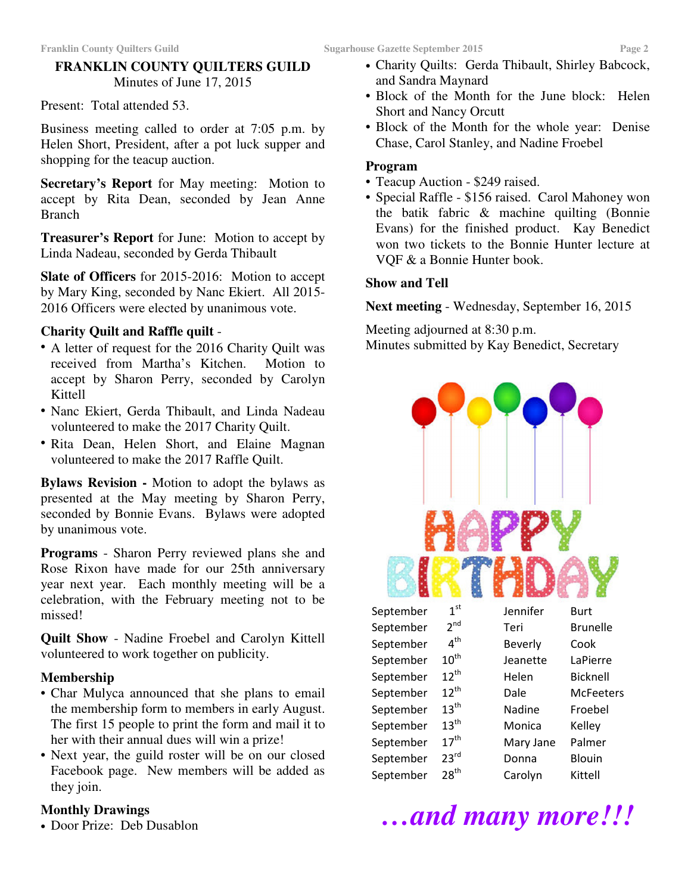#### **FRANKLIN COUNTY QUILTERS GUILD**  Minutes of June 17, 2015

Present: Total attended 53.

Business meeting called to order at 7:05 p.m. by Helen Short, President, after a pot luck supper and shopping for the teacup auction.

**Secretary's Report** for May meeting: Motion to accept by Rita Dean, seconded by Jean Anne Branch

**Treasurer's Report** for June: Motion to accept by Linda Nadeau, seconded by Gerda Thibault

**Slate of Officers** for 2015-2016: Motion to accept by Mary King, seconded by Nanc Ekiert. All 2015- 2016 Officers were elected by unanimous vote.

#### **Charity Quilt and Raffle quilt** -

- A letter of request for the 2016 Charity Quilt was received from Martha's Kitchen. Motion to accept by Sharon Perry, seconded by Carolyn Kittell
- Nanc Ekiert, Gerda Thibault, and Linda Nadeau volunteered to make the 2017 Charity Quilt.
- Rita Dean, Helen Short, and Elaine Magnan volunteered to make the 2017 Raffle Quilt.

**Bylaws Revision -** Motion to adopt the bylaws as presented at the May meeting by Sharon Perry, seconded by Bonnie Evans. Bylaws were adopted by unanimous vote.

**Programs** - Sharon Perry reviewed plans she and Rose Rixon have made for our 25th anniversary year next year. Each monthly meeting will be a celebration, with the February meeting not to be missed!

**Quilt Show** - Nadine Froebel and Carolyn Kittell volunteered to work together on publicity.

#### **Membership**

- Char Mulyca announced that she plans to email the membership form to members in early August. The first 15 people to print the form and mail it to her with their annual dues will win a prize!
- Next year, the guild roster will be on our closed Facebook page. New members will be added as they join.

## **Monthly Drawings**

• Door Prize: Deb Dusablon

- Charity Quilts: Gerda Thibault, Shirley Babcock, and Sandra Maynard
- Block of the Month for the June block: Helen Short and Nancy Orcutt
- Block of the Month for the whole year: Denise Chase, Carol Stanley, and Nadine Froebel

#### **Program**

- Teacup Auction \$249 raised.
- Special Raffle \$156 raised. Carol Mahoney won the batik fabric & machine quilting (Bonnie Evans) for the finished product. Kay Benedict won two tickets to the Bonnie Hunter lecture at VQF & a Bonnie Hunter book.

#### **Show and Tell**

**Next meeting** - Wednesday, September 16, 2015

Meeting adjourned at 8:30 p.m. Minutes submitted by Kay Benedict, Secretary



*…and many more!!!*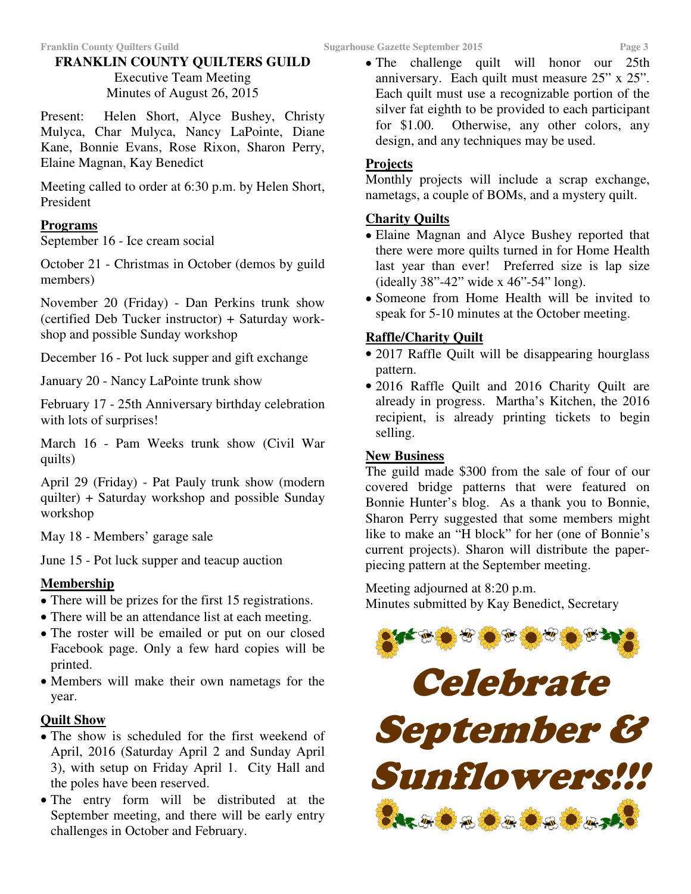## **FRANKLIN COUNTY QUILTERS GUILD**  Executive Team Meeting Minutes of August 26, 2015

Present: Helen Short, Alyce Bushey, Christy Mulyca, Char Mulyca, Nancy LaPointe, Diane Kane, Bonnie Evans, Rose Rixon, Sharon Perry, Elaine Magnan, Kay Benedict

Meeting called to order at 6:30 p.m. by Helen Short, President

## **Programs**

September 16 - Ice cream social

October 21 - Christmas in October (demos by guild members)

November 20 (Friday) - Dan Perkins trunk show (certified Deb Tucker instructor) + Saturday workshop and possible Sunday workshop

December 16 - Pot luck supper and gift exchange

January 20 - Nancy LaPointe trunk show

February 17 - 25th Anniversary birthday celebration with lots of surprises!

March 16 - Pam Weeks trunk show (Civil War quilts)

April 29 (Friday) - Pat Pauly trunk show (modern quilter) + Saturday workshop and possible Sunday workshop

May 18 - Members' garage sale

June 15 - Pot luck supper and teacup auction

## **Membership**

- There will be prizes for the first 15 registrations.
- There will be an attendance list at each meeting.
- The roster will be emailed or put on our closed Facebook page. Only a few hard copies will be printed.
- Members will make their own nametags for the year.

## **Quilt Show**

- The show is scheduled for the first weekend of April, 2016 (Saturday April 2 and Sunday April 3), with setup on Friday April 1. City Hall and the poles have been reserved.
- The entry form will be distributed at the September meeting, and there will be early entry challenges in October and February.

• The challenge quilt will honor our 25th anniversary. Each quilt must measure 25" x 25". Each quilt must use a recognizable portion of the silver fat eighth to be provided to each participant for \$1.00. Otherwise, any other colors, any design, and any techniques may be used.

## **Projects**

Monthly projects will include a scrap exchange, nametags, a couple of BOMs, and a mystery quilt.

## **Charity Quilts**

- Elaine Magnan and Alyce Bushey reported that there were more quilts turned in for Home Health last year than ever! Preferred size is lap size (ideally 38"-42" wide x 46"-54" long).
- Someone from Home Health will be invited to speak for 5-10 minutes at the October meeting.

## **Raffle/Charity Quilt**

- 2017 Raffle Quilt will be disappearing hourglass pattern.
- 2016 Raffle Quilt and 2016 Charity Quilt are already in progress. Martha's Kitchen, the 2016 recipient, is already printing tickets to begin selling.

## **New Business**

The guild made \$300 from the sale of four of our covered bridge patterns that were featured on Bonnie Hunter's blog. As a thank you to Bonnie, Sharon Perry suggested that some members might like to make an "H block" for her (one of Bonnie's current projects). Sharon will distribute the paperpiecing pattern at the September meeting.

Meeting adjourned at 8:20 p.m. Minutes submitted by Kay Benedict, Secretary

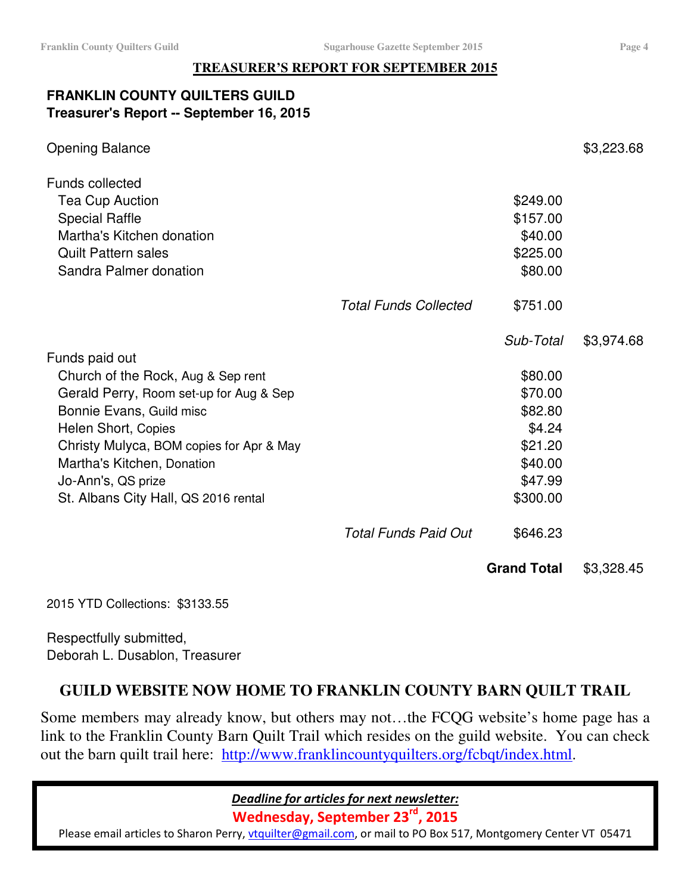## **TREASURER'S REPORT FOR SEPTEMBER 2015**

## **FRANKLIN COUNTY QUILTERS GUILD Treasurer's Report -- September 16, 2015**

| <b>Opening Balance</b>                   |                              |                    | \$3,223.68 |
|------------------------------------------|------------------------------|--------------------|------------|
| <b>Funds collected</b>                   |                              |                    |            |
| <b>Tea Cup Auction</b>                   |                              | \$249.00           |            |
| <b>Special Raffle</b>                    |                              | \$157.00           |            |
| Martha's Kitchen donation                |                              | \$40.00            |            |
| <b>Quilt Pattern sales</b>               |                              | \$225.00           |            |
| Sandra Palmer donation                   |                              | \$80.00            |            |
|                                          | <b>Total Funds Collected</b> | \$751.00           |            |
|                                          |                              | Sub-Total          | \$3,974.68 |
| Funds paid out                           |                              |                    |            |
| Church of the Rock, Aug & Sep rent       |                              | \$80.00            |            |
| Gerald Perry, Room set-up for Aug & Sep  |                              | \$70.00            |            |
| Bonnie Evans, Guild misc                 |                              | \$82.80            |            |
| Helen Short, Copies                      |                              | \$4.24             |            |
| Christy Mulyca, BOM copies for Apr & May |                              | \$21.20            |            |
| Martha's Kitchen, Donation               |                              | \$40.00            |            |
| Jo-Ann's, QS prize                       |                              | \$47.99            |            |
| St. Albans City Hall, QS 2016 rental     |                              | \$300.00           |            |
|                                          | <b>Total Funds Paid Out</b>  | \$646.23           |            |
|                                          |                              | <b>Grand Total</b> | \$3,328.45 |

2015 YTD Collections: \$3133.55

Respectfully submitted, Deborah L. Dusablon, Treasurer

## **GUILD WEBSITE NOW HOME TO FRANKLIN COUNTY BARN QUILT TRAIL**

Some members may already know, but others may not…the FCQG website's home page has a link to the Franklin County Barn Quilt Trail which resides on the guild website. You can check out the barn quilt trail here: http://www.franklincountyquilters.org/fcbqt/index.html.

*Deadline for articles for next newsletter:* 

**Wednesday, September 23rd, 2015** 

Please email articles to Sharon Perry, vtquilter@gmail.com, or mail to PO Box 517, Montgomery Center VT 05471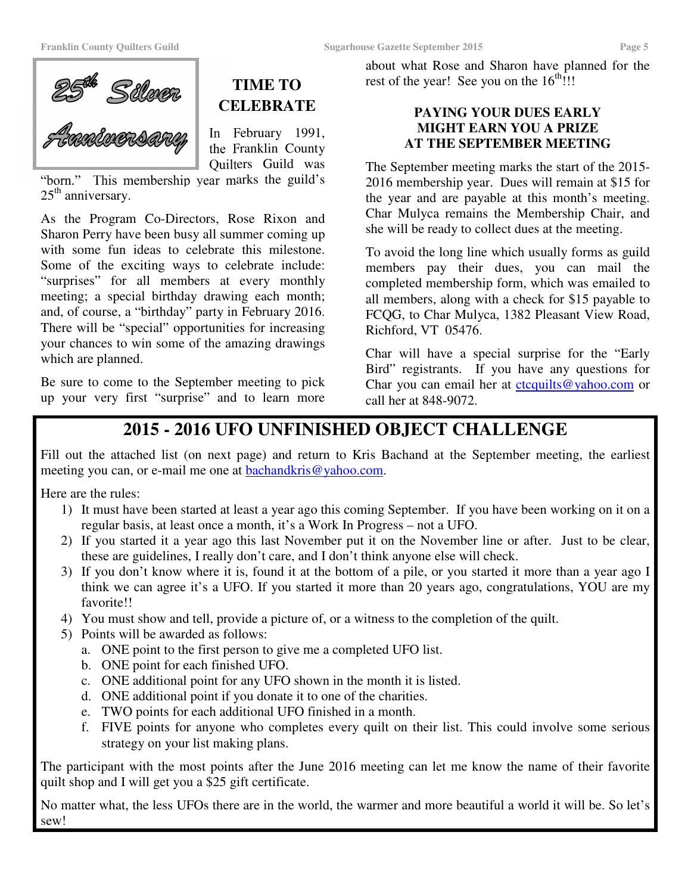

## **TIME TO CELEBRATE**

In February 1991, the Franklin County Quilters Guild was

"born." This membership year marks the guild's  $25<sup>th</sup>$  anniversary.

As the Program Co-Directors, Rose Rixon and Sharon Perry have been busy all summer coming up with some fun ideas to celebrate this milestone. Some of the exciting ways to celebrate include: "surprises" for all members at every monthly meeting; a special birthday drawing each month; and, of course, a "birthday" party in February 2016. There will be "special" opportunities for increasing your chances to win some of the amazing drawings which are planned.

Be sure to come to the September meeting to pick up your very first "surprise" and to learn more

about what Rose and Sharon have planned for the rest of the year! See you on the  $16^{th}$ !!!

## **PAYING YOUR DUES EARLY MIGHT EARN YOU A PRIZE AT THE SEPTEMBER MEETING**

The September meeting marks the start of the 2015- 2016 membership year. Dues will remain at \$15 for the year and are payable at this month's meeting. Char Mulyca remains the Membership Chair, and she will be ready to collect dues at the meeting.

To avoid the long line which usually forms as guild members pay their dues, you can mail the completed membership form, which was emailed to all members, along with a check for \$15 payable to FCQG, to Char Mulyca, 1382 Pleasant View Road, Richford, VT 05476.

Char will have a special surprise for the "Early Bird" registrants. If you have any questions for Char you can email her at ctcquilts@yahoo.com or call her at 848-9072.

## **2015 - 2016 UFO UNFINISHED OBJECT CHALLENGE**

Fill out the attached list (on next page) and return to Kris Bachand at the September meeting, the earliest meeting you can, or e-mail me one at **bachandkris@yahoo.com**.

Here are the rules:

- 1) It must have been started at least a year ago this coming September. If you have been working on it on a regular basis, at least once a month, it's a Work In Progress – not a UFO.
- 2) If you started it a year ago this last November put it on the November line or after. Just to be clear, these are guidelines, I really don't care, and I don't think anyone else will check.
- 3) If you don't know where it is, found it at the bottom of a pile, or you started it more than a year ago I think we can agree it's a UFO. If you started it more than 20 years ago, congratulations, YOU are my favorite!!
- 4) You must show and tell, provide a picture of, or a witness to the completion of the quilt.
- 5) Points will be awarded as follows:
	- a. ONE point to the first person to give me a completed UFO list.
	- b. ONE point for each finished UFO.
	- c. ONE additional point for any UFO shown in the month it is listed.
	- d. ONE additional point if you donate it to one of the charities.
	- e. TWO points for each additional UFO finished in a month.
	- f. FIVE points for anyone who completes every quilt on their list. This could involve some serious strategy on your list making plans.

The participant with the most points after the June 2016 meeting can let me know the name of their favorite quilt shop and I will get you a \$25 gift certificate.

No matter what, the less UFOs there are in the world, the warmer and more beautiful a world it will be. So let's sew!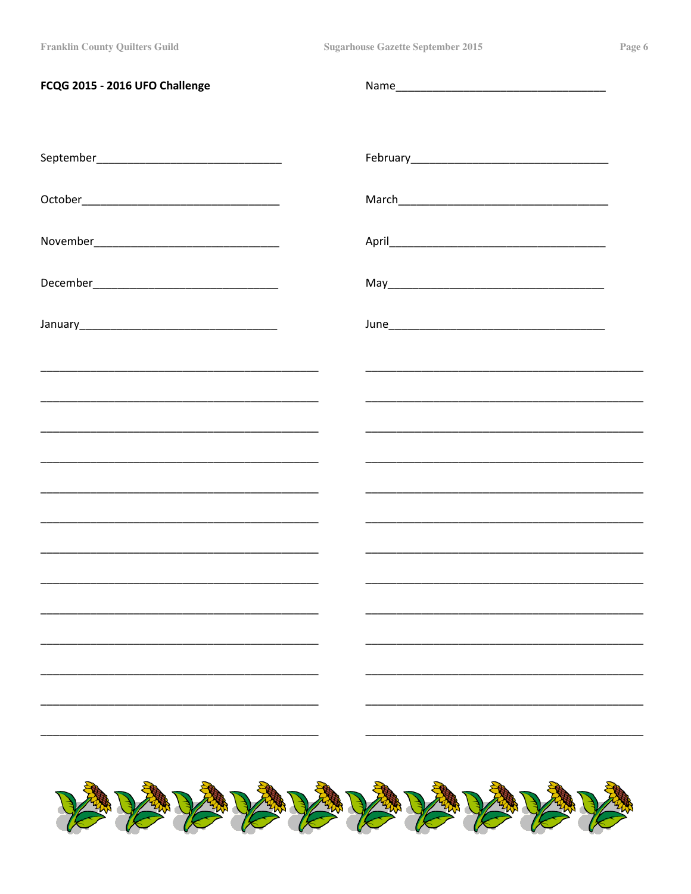| FCQG 2015 - 2016 UFO Challenge                                                                                        |  |
|-----------------------------------------------------------------------------------------------------------------------|--|
|                                                                                                                       |  |
|                                                                                                                       |  |
|                                                                                                                       |  |
|                                                                                                                       |  |
|                                                                                                                       |  |
|                                                                                                                       |  |
|                                                                                                                       |  |
|                                                                                                                       |  |
|                                                                                                                       |  |
|                                                                                                                       |  |
| <u> 1989 - Johann John Stoff, deutscher Stoffen und der Stoffen und der Stoffen und der Stoffen und der Stoffen u</u> |  |
|                                                                                                                       |  |
|                                                                                                                       |  |
|                                                                                                                       |  |
|                                                                                                                       |  |
|                                                                                                                       |  |
|                                                                                                                       |  |
| BARARARARARARARA                                                                                                      |  |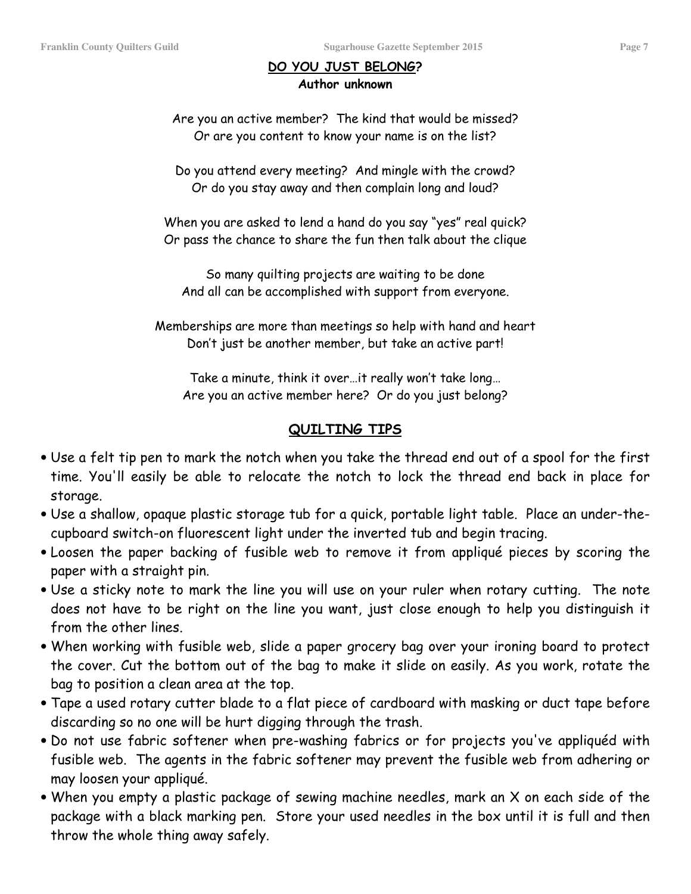## **DO YOU JUST BELONG? Author unknown**

Are you an active member? The kind that would be missed? Or are you content to know your name is on the list?

Do you attend every meeting? And mingle with the crowd? Or do you stay away and then complain long and loud?

When you are asked to lend a hand do you say "yes" real quick? Or pass the chance to share the fun then talk about the clique

So many quilting projects are waiting to be done And all can be accomplished with support from everyone.

Memberships are more than meetings so help with hand and heart Don't just be another member, but take an active part!

Take a minute, think it over…it really won't take long… Are you an active member here? Or do you just belong?

## **QUILTING TIPS**

- Use a felt tip pen to mark the notch when you take the thread end out of a spool for the first time. You'll easily be able to relocate the notch to lock the thread end back in place for storage.
- Use a shallow, opaque plastic storage tub for a quick, portable light table. Place an under-thecupboard switch-on fluorescent light under the inverted tub and begin tracing.
- Loosen the paper backing of fusible web to remove it from appliqué pieces by scoring the paper with a straight pin.
- Use a sticky note to mark the line you will use on your ruler when rotary cutting. The note does not have to be right on the line you want, just close enough to help you distinguish it from the other lines.
- When working with fusible web, slide a paper grocery bag over your ironing board to protect the cover. Cut the bottom out of the bag to make it slide on easily. As you work, rotate the bag to position a clean area at the top.
- Tape a used rotary cutter blade to a flat piece of cardboard with masking or duct tape before discarding so no one will be hurt digging through the trash.
- Do not use fabric softener when pre-washing fabrics or for projects you've appliquéd with fusible web. The agents in the fabric softener may prevent the fusible web from adhering or may loosen your appliqué.
- When you empty a plastic package of sewing machine needles, mark an X on each side of the package with a black marking pen. Store your used needles in the box until it is full and then throw the whole thing away safely.